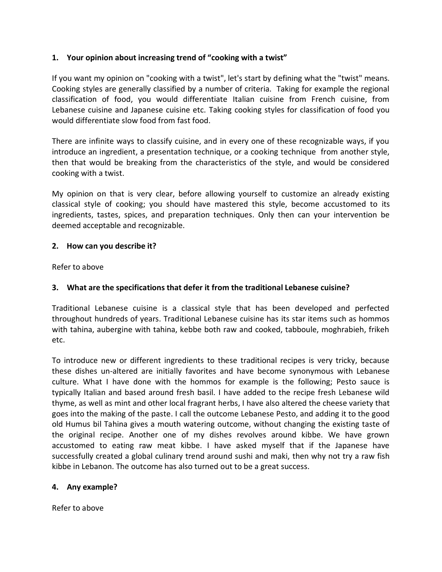## **1. Your opinion about increasing trend of "cooking with a twist"**

If you want my opinion on "cooking with a twist", let's start by defining what the "twist" means. Cooking styles are generally classified by a number of criteria. Taking for example the regional classification of food, you would differentiate Italian cuisine from French cuisine, from Lebanese cuisine and Japanese cuisine etc. Taking cooking styles for classification of food you would differentiate slow food from fast food.

There are infinite ways to classify cuisine, and in every one of these recognizable ways, if you introduce an ingredient, a presentation technique, or a cooking technique from another style, then that would be breaking from the characteristics of the style, and would be considered cooking with a twist.

My opinion on that is very clear, before allowing yourself to customize an already existing classical style of cooking; you should have mastered this style, become accustomed to its ingredients, tastes, spices, and preparation techniques. Only then can your intervention be deemed acceptable and recognizable.

## **2. How can you describe it?**

Refer to above

# **3. What are the specifications that defer it from the traditional Lebanese cuisine?**

Traditional Lebanese cuisine is a classical style that has been developed and perfected throughout hundreds of years. Traditional Lebanese cuisine has its star items such as hommos with tahina, aubergine with tahina, kebbe both raw and cooked, tabboule, moghrabieh, frikeh etc.

To introduce new or different ingredients to these traditional recipes is very tricky, because these dishes un-altered are initially favorites and have become synonymous with Lebanese culture. What I have done with the hommos for example is the following; Pesto sauce is typically Italian and based around fresh basil. I have added to the recipe fresh Lebanese wild thyme, as well as mint and other local fragrant herbs, I have also altered the cheese variety that goes into the making of the paste. I call the outcome Lebanese Pesto, and adding it to the good old Humus bil Tahina gives a mouth watering outcome, without changing the existing taste of the original recipe. Another one of my dishes revolves around kibbe. We have grown accustomed to eating raw meat kibbe. I have asked myself that if the Japanese have successfully created a global culinary trend around sushi and maki, then why not try a raw fish kibbe in Lebanon. The outcome has also turned out to be a great success.

#### **4. Any example?**

Refer to above